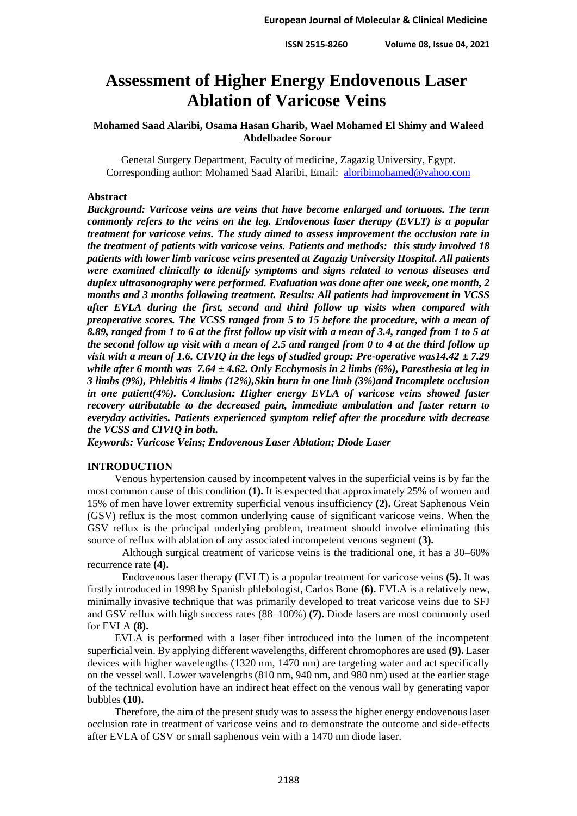# **Assessment of Higher Energy Endovenous Laser Ablation of Varicose Veins**

# **Mohamed Saad Alaribi, Osama Hasan Gharib, Wael Mohamed El Shimy and Waleed Abdelbadee Sorour**

General Surgery Department, Faculty of medicine, Zagazig University, Egypt. Corresponding author: Mohamed Saad Alaribi, Email: [aloribimohamed@yahoo.com](mailto:moamerahmadhasan@gmail.com)

## **Abstract**

*Background: Varicose veins are veins that have become enlarged and tortuous. The term commonly refers to the veins on the leg. Endovenous laser therapy (EVLT) is a popular treatment for varicose veins. The study aimed to assess improvement the occlusion rate in the treatment of patients with varicose veins. Patients and methods: this study involved 18 patients with lower limb varicose veins presented at Zagazig University Hospital. All patients were examined clinically to identify symptoms and signs related to venous diseases and duplex ultrasonography were performed. Evaluation was done after one week, one month, 2 months and 3 months following treatment. Results: All patients had improvement in VCSS after EVLA during the first, second and third follow up visits when compared with preoperative scores. The VCSS ranged from 5 to 15 before the procedure, with a mean of 8.89, ranged from 1 to 6 at the first follow up visit with a mean of 3.4, ranged from 1 to 5 at the second follow up visit with a mean of 2.5 and ranged from 0 to 4 at the third follow up visit with a mean of 1.6. CIVIQ in the legs of studied group: Pre-operative was14.42 ± 7.29 while after 6 month was*  $7.64 \pm 4.62$ *. Only Ecchymosis in 2 limbs (6%), Paresthesia at leg in 3 limbs (9%), Phlebitis 4 limbs (12%),Skin burn in one limb (3%)and Incomplete occlusion in one patient(4%). Conclusion: Higher energy EVLA of varicose veins showed faster recovery attributable to the decreased pain, immediate ambulation and faster return to everyday activities. Patients experienced symptom relief after the procedure with decrease the VCSS and CIVIQ in both.*

*Keywords: Varicose Veins; Endovenous Laser Ablation; Diode Laser*

# **INTRODUCTION**

Venous hypertension caused by incompetent valves in the superficial veins is by far the most common cause of this condition **(1).** It is expected that approximately 25% of women and 15% of men have lower extremity superficial venous insufficiency **(2).** Great Saphenous Vein (GSV) reflux is the most common underlying cause of significant varicose veins. When the GSV reflux is the principal underlying problem, treatment should involve eliminating this source of reflux with ablation of any associated incompetent venous segment **(3).**

Although surgical treatment of varicose veins is the traditional one, it has a 30–60% recurrence rate **(4).**

Endovenous laser therapy (EVLT) is a popular treatment for varicose veins **(5).** It was firstly introduced in 1998 by Spanish phlebologist, Carlos Bone **(6).** EVLA is a relatively new, minimally invasive technique that was primarily developed to treat varicose veins due to SFJ and GSV reflux with high success rates (88–100%) **(7).** Diode lasers are most commonly used for EVLA **(8).**

EVLA is performed with a laser fiber introduced into the lumen of the incompetent superficial vein. By applying different wavelengths, different chromophores are used **(9).** Laser devices with higher wavelengths (1320 nm, 1470 nm) are targeting water and act specifically on the vessel wall. Lower wavelengths (810 nm, 940 nm, and 980 nm) used at the earlier stage of the technical evolution have an indirect heat effect on the venous wall by generating vapor bubbles **(10).**

Therefore, the aim of the present study was to assess the higher energy endovenous laser occlusion rate in treatment of varicose veins and to demonstrate the outcome and side-effects after EVLA of GSV or small saphenous vein with a 1470 nm diode laser.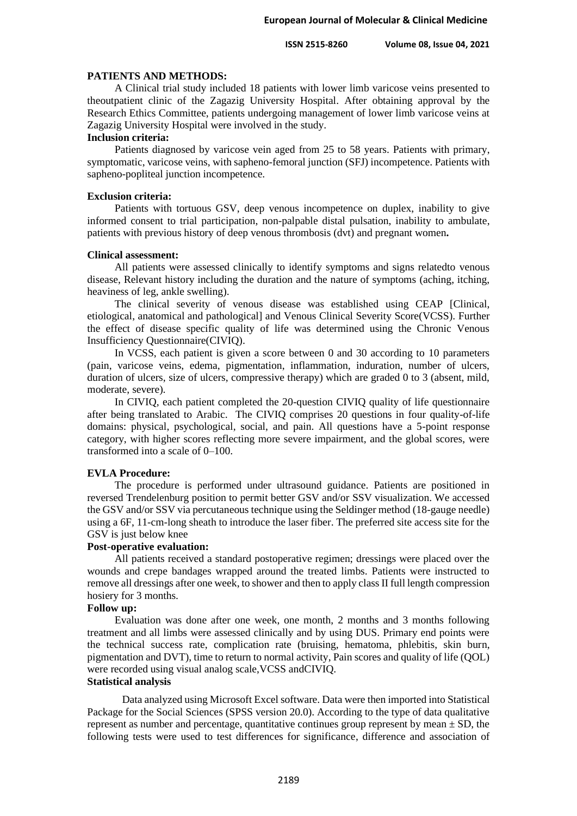**ISSN 2515-8260 Volume 08, Issue 04, 2021**

#### **PATIENTS AND METHODS:**

A Clinical trial study included 18 patients with lower limb varicose veins presented to theoutpatient clinic of the Zagazig University Hospital. After obtaining approval by the Research Ethics Committee, patients undergoing management of lower limb varicose veins at Zagazig University Hospital were involved in the study.

# **Inclusion criteria:**

Patients diagnosed by varicose vein aged from 25 to 58 years. Patients with primary, symptomatic, varicose veins, with sapheno-femoral junction (SFJ) incompetence. Patients with sapheno-popliteal junction incompetence.

## **Exclusion criteria:**

Patients with tortuous GSV, deep venous incompetence on duplex, inability to give informed consent to trial participation, non-palpable distal pulsation, inability to ambulate, patients with previous history of deep venous thrombosis (dvt) and pregnant women**.**

#### **Clinical assessment:**

All patients were assessed clinically to identify symptoms and signs relatedto venous disease, Relevant history including the duration and the nature of symptoms (aching, itching, heaviness of leg, ankle swelling).

The clinical severity of venous disease was established using CEAP [Clinical, etiological, anatomical and pathological] and Venous Clinical Severity Score(VCSS). Further the effect of disease specific quality of life was determined using the Chronic Venous Insufficiency Questionnaire(CIVIQ).

In VCSS, each patient is given a score between 0 and 30 according to 10 parameters (pain, varicose veins, edema, pigmentation, inflammation, induration, number of ulcers, duration of ulcers, size of ulcers, compressive therapy) which are graded 0 to 3 (absent, mild, moderate, severe).

In CIVIQ, each patient completed the 20-question CIVIQ quality of life questionnaire after being translated to Arabic. The CIVIQ comprises 20 questions in four quality-of-life domains: physical, psychological, social, and pain. All questions have a 5-point response category, with higher scores reflecting more severe impairment, and the global scores, were transformed into a scale of 0–100.

## **EVLA Procedure:**

The procedure is performed under ultrasound guidance. Patients are positioned in reversed Trendelenburg position to permit better GSV and/or SSV visualization. We accessed the GSV and/or SSV via percutaneous technique using the Seldinger method (18-gauge needle) using a 6F, 11-cm-long sheath to introduce the laser fiber. The preferred site access site for the GSV is just below knee

# **Post-operative evaluation:**

All patients received a standard postoperative regimen; dressings were placed over the wounds and crepe bandages wrapped around the treated limbs. Patients were instructed to remove all dressings after one week, to shower and then to apply class II full length compression hosiery for 3 months.

#### **Follow up:**

Evaluation was done after one week, one month, 2 months and 3 months following treatment and all limbs were assessed clinically and by using DUS. Primary end points were the technical success rate, complication rate (bruising, hematoma, phlebitis, skin burn, pigmentation and DVT), time to return to normal activity, Pain scores and quality of life (QOL) were recorded using visual analog scale,VCSS andCIVIQ.

# **Statistical analysis**

Data analyzed using Microsoft Excel software. Data were then imported into Statistical Package for the Social Sciences (SPSS version 20.0). According to the type of data qualitative represent as number and percentage, quantitative continues group represent by mean  $\pm$  SD, the following tests were used to test differences for significance, difference and association of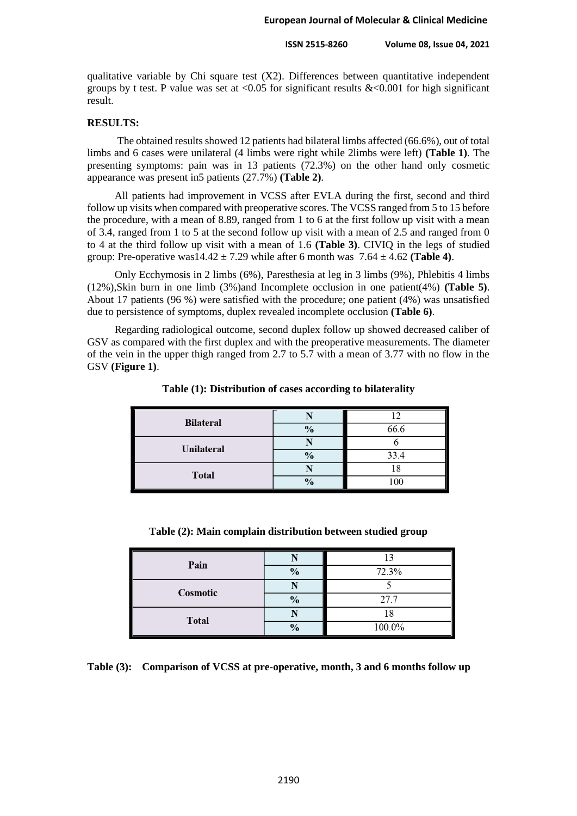**ISSN 2515-8260 Volume 08, Issue 04, 2021**

qualitative variable by Chi square test  $(X2)$ . Differences between quantitative independent groups by t test. P value was set at  $\langle 0.05 \rangle$  for significant results &  $\langle 0.001 \rangle$  for high significant result.

# **RESULTS:**

The obtained results showed 12 patients had bilateral limbs affected (66.6%), out of total limbs and 6 cases were unilateral (4 limbs were right while 2limbs were left) **(Table 1)**. The presenting symptoms: pain was in 13 patients (72.3%) on the other hand only cosmetic appearance was present in5 patients (27.7%) **(Table 2)**.

All patients had improvement in VCSS after EVLA during the first, second and third follow up visits when compared with preoperative scores. The VCSS ranged from 5 to 15 before the procedure, with a mean of 8.89, ranged from 1 to 6 at the first follow up visit with a mean of 3.4, ranged from 1 to 5 at the second follow up visit with a mean of 2.5 and ranged from 0 to 4 at the third follow up visit with a mean of 1.6 **(Table 3)**. CIVIQ in the legs of studied group: Pre-operative was  $14.42 \pm 7.29$  while after 6 month was  $7.64 \pm 4.62$  (**Table 4**).

Only Ecchymosis in 2 limbs (6%), Paresthesia at leg in 3 limbs (9%), Phlebitis 4 limbs (12%),Skin burn in one limb (3%)and Incomplete occlusion in one patient(4%) **(Table 5)**. About 17 patients (96 %) were satisfied with the procedure; one patient (4%) was unsatisfied due to persistence of symptoms, duplex revealed incomplete occlusion **(Table 6)**.

Regarding radiological outcome, second duplex follow up showed decreased caliber of GSV as compared with the first duplex and with the preoperative measurements. The diameter of the vein in the upper thigh ranged from 2.7 to 5.7 with a mean of 3.77 with no flow in the GSV **(Figure 1)**.

| <b>Bilateral</b> |              | ריו            |
|------------------|--------------|----------------|
|                  | $\mathbf{0}$ | 66.6           |
| Unilateral       |              |                |
|                  |              | 33.4           |
| <b>Total</b>     |              |                |
|                  | $\mathbf{0}$ | $\overline{0}$ |

**Table (1): Distribution of cases according to bilaterality**

| Table (2): Main complain distribution between studied group |  |  |  |  |  |  |  |  |  |  |  |  |  |  |  |  |  |  |  |  |  |  |
|-------------------------------------------------------------|--|--|--|--|--|--|--|--|--|--|--|--|--|--|--|--|--|--|--|--|--|--|
|-------------------------------------------------------------|--|--|--|--|--|--|--|--|--|--|--|--|--|--|--|--|--|--|--|--|--|--|

| Pain         |          |        |
|--------------|----------|--------|
|              | $\Omega$ | 72.3%  |
| Cosmotic     |          |        |
|              |          | 27.7   |
| <b>Total</b> |          |        |
|              |          | 100.0% |

**Table (3): Comparison of VCSS at pre-operative, month, 3 and 6 months follow up**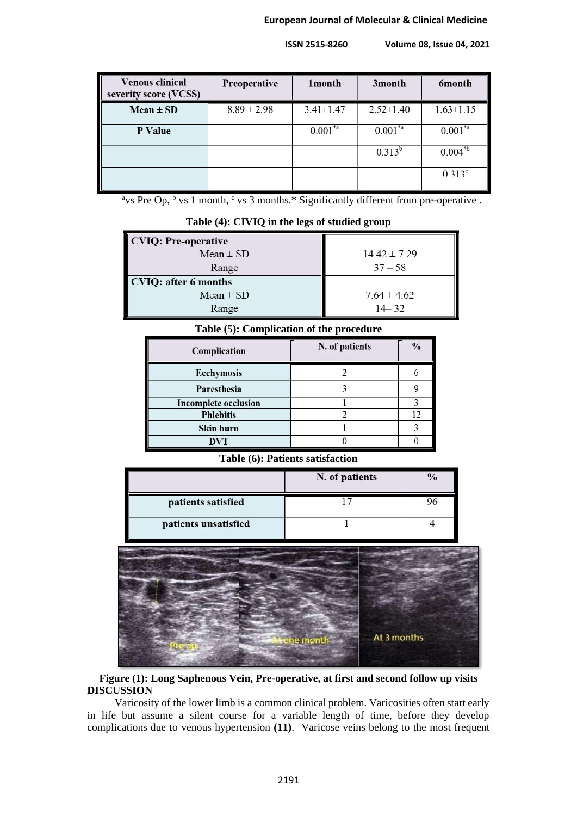## **European Journal of Molecular & Clinical Medicine**

 **ISSN 2515-8260 Volume 08, Issue 04, 2021**

| <b>Venous clinical</b><br>severity score (VCSS) | Preoperative    | 1 month         | 3month           | <b>6month</b>   |
|-------------------------------------------------|-----------------|-----------------|------------------|-----------------|
| $Mean \pm SD$                                   | $8.89 \pm 2.98$ | $3.41 \pm 1.47$ | $2.52 \pm 1.40$  | $1.63 \pm 1.15$ |
| P Value                                         |                 | $0.001^{*a}$    | $0.001^{\ast a}$ | $0.001^{*a}$    |
|                                                 |                 |                 | $0.313^{b}$      | $0.004^{*b}$    |
|                                                 |                 |                 |                  | $0.313^{\circ}$ |

<sup>a</sup>vs Pre Op,  $\frac{b}{x}$  vs 1 month,  $\frac{c}{x}$  vs 3 months.\* Significantly different from pre-operative.

**Table (4): CIVIQ in the legs of studied group**

| <b>CVIQ: Pre-operative</b>  |                  |
|-----------------------------|------------------|
| Mean $\pm$ SD               | $14.42 \pm 7.29$ |
| Range                       | $37 - 58$        |
| <b>CVIQ: after 6 months</b> |                  |
| Mean $\pm$ SD               | $7.64 \pm 4.62$  |
| Range                       | $14 - 32$        |

# **Table (5): Complication of the procedure**

| Complication                | N. of patients | $\frac{0}{0}$ |
|-----------------------------|----------------|---------------|
| <b>Ecchymosis</b>           |                |               |
| Paresthesia                 |                |               |
| <b>Incomplete occlusion</b> |                |               |
| <b>Phlebitis</b>            |                |               |
| Skin burn                   |                |               |
| DVT                         |                |               |

# **Table (6): Patients satisfaction**

|                      | N. of patients | 70 |
|----------------------|----------------|----|
| patients satisfied   |                |    |
| patients unsatisfied |                |    |



# **Figure (1): Long Saphenous Vein, Pre-operative, at first and second follow up visits DISCUSSION**

Varicosity of the lower limb is a common clinical problem. Varicosities often start early in life but assume a silent course for a variable length of time, before they develop complications due to venous hypertension **(11)**. Varicose veins belong to the most frequent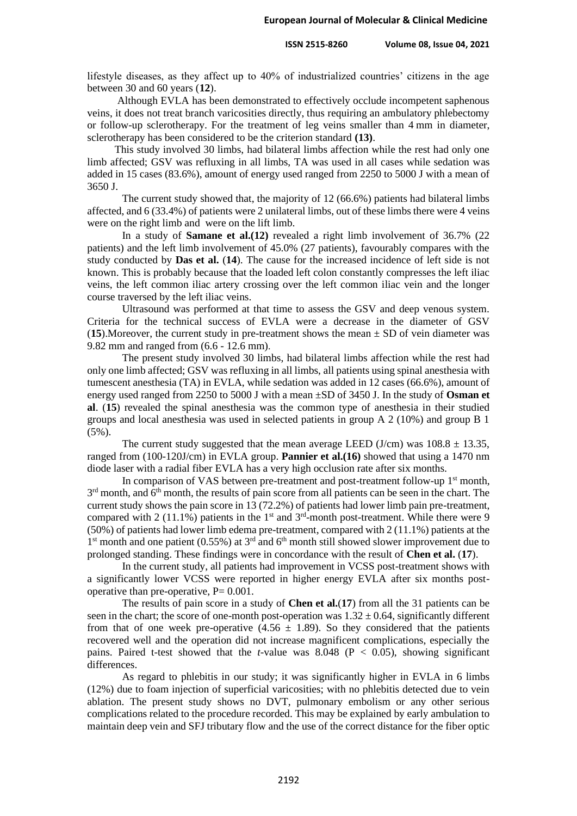lifestyle diseases, as they affect up to 40% of industrialized countries' citizens in the age between 30 and 60 years (**12**).

Although EVLA has been demonstrated to effectively occlude incompetent saphenous veins, it does not treat branch varicosities directly, thus requiring an ambulatory phlebectomy or follow-up sclerotherapy. For the treatment of leg veins smaller than 4 mm in diameter, sclerotherapy has been considered to be the criterion standard **(13)**.

This study involved 30 limbs, had bilateral limbs affection while the rest had only one limb affected; GSV was refluxing in all limbs, TA was used in all cases while sedation was added in 15 cases (83.6%), amount of energy used ranged from 2250 to 5000 J with a mean of 3650 J.

The current study showed that, the majority of 12 (66.6%) patients had bilateral limbs affected, and 6 (33.4%) of patients were 2 unilateral limbs, out of these limbs there were 4 veins were on the right limb and were on the lift limb.

In a study of **Samane et al.(12)** revealed a right limb involvement of 36.7% (22 patients) and the left limb involvement of 45.0% (27 patients), favourably compares with the study conducted by **Das et al.** (**14**). The cause for the increased incidence of left side is not known. This is probably because that the loaded left colon constantly compresses the left iliac veins, the left common iliac artery crossing over the left common iliac vein and the longer course traversed by the left iliac veins.

Ultrasound was performed at that time to assess the GSV and deep venous system. Criteria for the technical success of EVLA were a decrease in the diameter of GSV (**15**). Moreover, the current study in pre-treatment shows the mean  $\pm$  SD of vein diameter was 9.82 mm and ranged from  $(6.6 - 12.6 \text{ mm})$ .

The present study involved 30 limbs, had bilateral limbs affection while the rest had only one limb affected; GSV was refluxing in all limbs, all patients using spinal anesthesia with tumescent anesthesia (TA) in EVLA, while sedation was added in 12 cases (66.6%), amount of energy used ranged from 2250 to 5000 J with a mean ±SD of 3450 J. In the study of **Osman et al**. (**15**) revealed the spinal anesthesia was the common type of anesthesia in their studied groups and local anesthesia was used in selected patients in group A 2 (10%) and group B 1  $(5\%)$ .

The current study suggested that the mean average LEED (J/cm) was  $108.8 \pm 13.35$ , ranged from (100-120J/cm) in EVLA group. **Pannier et al.(16)** showed that using a 1470 nm diode laser with a radial fiber EVLA has a very high occlusion rate after six months.

In comparison of VAS between pre-treatment and post-treatment follow-up  $1<sup>st</sup>$  month,  $3<sup>rd</sup>$  month, and  $6<sup>th</sup>$  month, the results of pain score from all patients can be seen in the chart. The current study shows the pain score in  $13$  (72.2%) of patients had lower limb pain pre-treatment, compared with 2 (11.1%) patients in the  $1<sup>st</sup>$  and  $3<sup>rd</sup>$ -month post-treatment. While there were 9 (50%) of patients had lower limb edema pre-treatment, compared with 2 (11.1%) patients at the  $1<sup>st</sup>$  month and one patient (0.55%) at 3<sup>rd</sup> and 6<sup>th</sup> month still showed slower improvement due to prolonged standing. These findings were in concordance with the result of **Chen et al.** (**17**).

In the current study, all patients had improvement in VCSS post-treatment shows with a significantly lower VCSS were reported in higher energy EVLA after six months postoperative than pre-operative,  $P = 0.001$ .

The results of pain score in a study of **Chen et al.**(**17**) from all the 31 patients can be seen in the chart; the score of one-month post-operation was  $1.32 \pm 0.64$ , significantly different from that of one week pre-operative  $(4.56 \pm 1.89)$ . So they considered that the patients recovered well and the operation did not increase magnificent complications, especially the pains. Paired t-test showed that the *t*-value was  $8.048$  ( $P < 0.05$ ), showing significant differences.

As regard to phlebitis in our study; it was significantly higher in EVLA in 6 limbs (12%) due to foam injection of superficial varicosities; with no phlebitis detected due to vein ablation. The present study shows no DVT, pulmonary embolism or any other serious complications related to the procedure recorded. This may be explained by early ambulation to maintain deep vein and SFJ tributary flow and the use of the correct distance for the fiber optic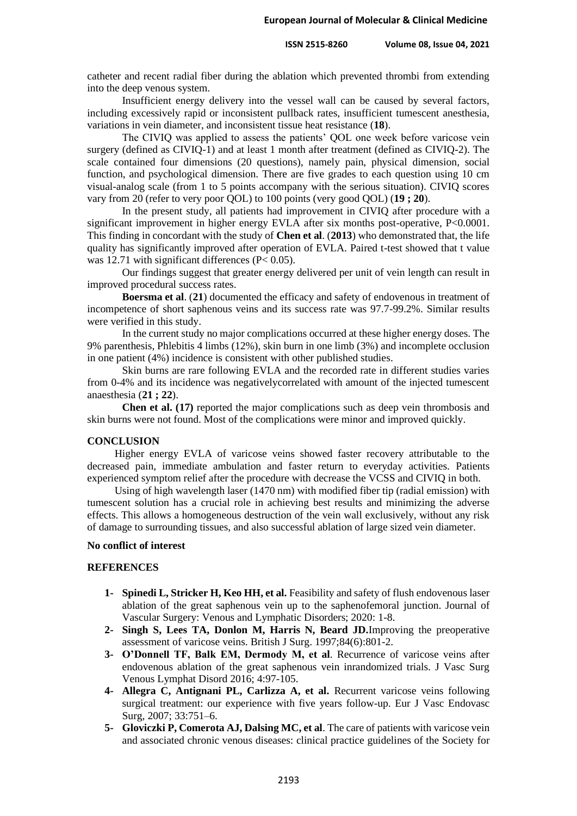catheter and recent radial fiber during the ablation which prevented thrombi from extending into the deep venous system.

Insufficient energy delivery into the vessel wall can be caused by several factors, including excessively rapid or inconsistent pullback rates, insufficient tumescent anesthesia, variations in vein diameter, and inconsistent tissue heat resistance (**18**).

The CIVIQ was applied to assess the patients' QOL one week before varicose vein surgery (defined as CIVIQ-1) and at least 1 month after treatment (defined as CIVIQ-2). The scale contained four dimensions (20 questions), namely pain, physical dimension, social function, and psychological dimension. There are five grades to each question using 10 cm visual-analog scale (from 1 to 5 points accompany with the serious situation). CIVIQ scores vary from 20 (refer to very poor QOL) to 100 points (very good QOL) (**19 ; 20**).

In the present study, all patients had improvement in CIVIQ after procedure with a significant improvement in higher energy EVLA after six months post-operative, P<0.0001. This finding in concordant with the study of **Chen et al**. (**2013**) who demonstrated that, the life quality has significantly improved after operation of EVLA. Paired t-test showed that t value was 12.71 with significant differences (P< 0.05).

Our findings suggest that greater energy delivered per unit of vein length can result in improved procedural success rates.

**Boersma et al**. (**21**) documented the efficacy and safety of endovenous in treatment of incompetence of short saphenous veins and its success rate was 97.7-99.2%. Similar results were verified in this study.

In the current study no major complications occurred at these higher energy doses. The 9% parenthesis, Phlebitis 4 limbs (12%), skin burn in one limb (3%) and incomplete occlusion in one patient (4%) incidence is consistent with other published studies.

Skin burns are rare following EVLA and the recorded rate in different studies varies from 0-4% and its incidence was negativelycorrelated with amount of the injected tumescent anaesthesia (**21 ; 22**).

**Chen et al. (17)** reported the major complications such as deep vein thrombosis and skin burns were not found. Most of the complications were minor and improved quickly.

## **CONCLUSION**

Higher energy EVLA of varicose veins showed faster recovery attributable to the decreased pain, immediate ambulation and faster return to everyday activities. Patients experienced symptom relief after the procedure with decrease the VCSS and CIVIQ in both.

Using of high wavelength laser (1470 nm) with modified fiber tip (radial emission) with tumescent solution has a crucial role in achieving best results and minimizing the adverse effects. This allows a homogeneous destruction of the vein wall exclusively, without any risk of damage to surrounding tissues, and also successful ablation of large sized vein diameter.

#### **No conflict of interest**

## **REFERENCES**

- **1- Spinedi L, Stricker H, Keo HH, et al.** Feasibility and safety of flush endovenous laser ablation of the great saphenous vein up to the saphenofemoral junction. Journal of Vascular Surgery: Venous and Lymphatic Disorders; 2020: 1-8.
- **2- Singh S, Lees TA, Donlon M, Harris N, Beard JD.**Improving the preoperative assessment of varicose veins. British J Surg. 1997;84(6):801-2.
- **3- O'Donnell TF, Balk EM, Dermody M, et al**. Recurrence of varicose veins after endovenous ablation of the great saphenous vein inrandomized trials. J Vasc Surg Venous Lymphat Disord 2016; 4:97-105.
- **4- Allegra C, Antignani PL, Carlizza A, et al.** Recurrent varicose veins following surgical treatment: our experience with five years follow-up. Eur J Vasc Endovasc Surg, 2007; 33:751–6.
- **5- Gloviczki P, Comerota AJ, Dalsing MC, et al**. The care of patients with varicose vein and associated chronic venous diseases: clinical practice guidelines of the Society for